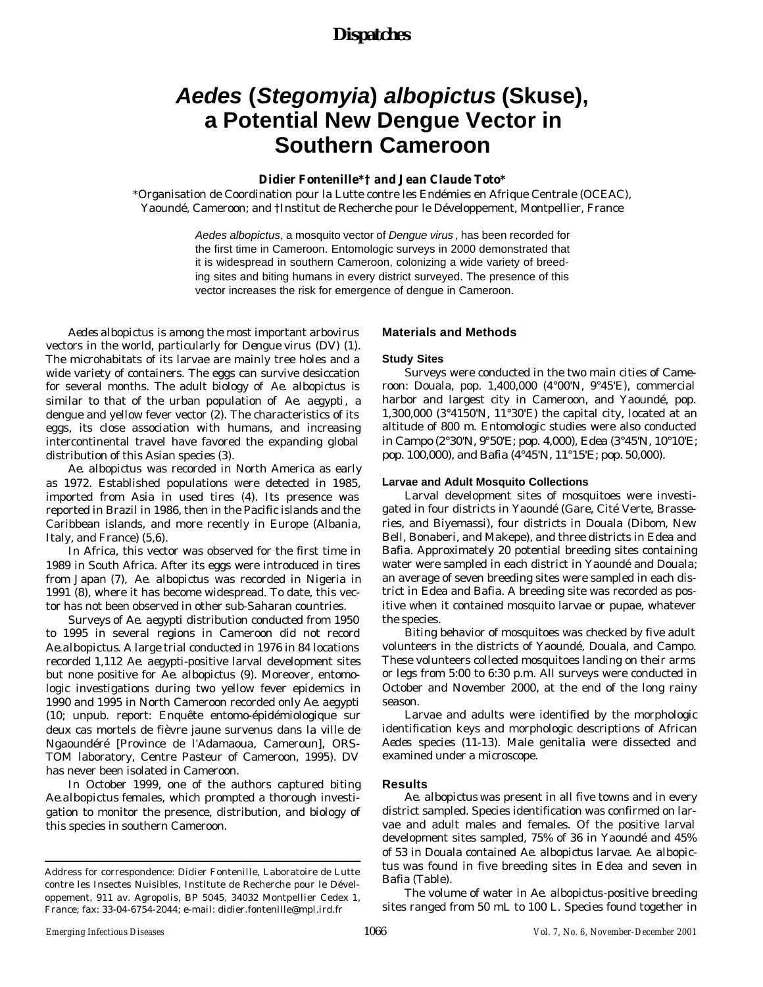## *Dispatches*

# *Aedes* **(***Stegomyia***)** *albopictus* **(Skuse), a Potential New Dengue Vector in Southern Cameroon**

## **Didier Fontenille\*† and Jean Claude Toto\***

\*Organisation de Coordination pour la Lutte contre les Endémies en Afrique Centrale (OCEAC), Yaoundé, Cameroon; and †Institut de Recherche pour le Développement, Montpellier, France

> *Aedes albopictus*, a mosquito vector of *Dengue virus* , has been recorded for the first time in Cameroon. Entomologic surveys in 2000 demonstrated that it is widespread in southern Cameroon, colonizing a wide variety of breeding sites and biting humans in every district surveyed. The presence of this vector increases the risk for emergence of dengue in Cameroon.

*Aedes albopictus* is among the most important arbovirus vectors in the world, particularly for *Dengue virus* (DV) (1). The microhabitats of its larvae are mainly tree holes and a wide variety of containers. The eggs can survive desiccation for several months. The adult biology of *Ae. albopictus* is similar to that of the urban population of *Ae. aegypti*, a dengue and yellow fever vector (2). The characteristics of its eggs, its close association with humans, and increasing intercontinental travel have favored the expanding global distribution of this Asian species (3).

*Ae. albopictus* was recorded in North America as early as 1972. Established populations were detected in 1985, imported from Asia in used tires (4). Its presence was reported in Brazil in 1986, then in the Pacific islands and the Caribbean islands, and more recently in Europe (Albania, Italy, and France) (5,6).

In Africa, this vector was observed for the first time in 1989 in South Africa. After its eggs were introduced in tires from Japan (7), *Ae. albopictus* was recorded in Nigeria in 1991 (8), where it has become widespread. To date, this vector has not been observed in other sub-Saharan countries.

Surveys of *Ae. aegypti* distribution conducted from 1950 to 1995 in several regions in Cameroon did not record *Ae.albopictus*. A large trial conducted in 1976 in 84 locations recorded 1,112 *Ae. aegypti*-positive larval development sites but none positive for *Ae. albopictus* (9). Moreover, entomologic investigations during two yellow fever epidemics in 1990 and 1995 in North Cameroon recorded only *Ae. aegypti* (10; unpub. report: Enquête entomo-épidémiologique sur deux cas mortels de fièvre jaune survenus dans la ville de Ngaoundéré [Province de l'Adamaoua, Cameroun], ORS-TOM laboratory, Centre Pasteur of Cameroon, 1995). DV has never been isolated in Cameroon.

In October 1999, one of the authors captured biting *Ae.albopictus* females, which prompted a thorough investigation to monitor the presence, distribution, and biology of this species in southern Cameroon.

### **Materials and Methods**

#### **Study Sites**

Surveys were conducted in the two main cities of Cameroon: Douala, pop. 1,400,000 (4°00'N, 9°45'E), commercial harbor and largest city in Cameroon, and Yaoundé, pop. 1,300,000 (3°4150'N, 11°30'E) the capital city, located at an altitude of 800 m. Entomologic studies were also conducted in Campo (2°30'N, 9°50'E; pop. 4,000), Edea (3°45'N, 10°10'E; pop. 100,000), and Bafia (4°45'N, 11°15'E; pop. 50,000).

#### **Larvae and Adult Mosquito Collections**

Larval development sites of mosquitoes were investigated in four districts in Yaoundé (Gare, Cité Verte, Brasseries, and Biyemassi), four districts in Douala (Dibom, New Bell, Bonaberi, and Makepe), and three districts in Edea and Bafia. Approximately 20 potential breeding sites containing water were sampled in each district in Yaoundé and Douala; an average of seven breeding sites were sampled in each district in Edea and Bafia. A breeding site was recorded as positive when it contained mosquito larvae or pupae, whatever the species.

Biting behavior of mosquitoes was checked by five adult volunteers in the districts of Yaoundé, Douala, and Campo. These volunteers collected mosquitoes landing on their arms or legs from 5:00 to 6:30 p.m. All surveys were conducted in October and November 2000, at the end of the long rainy season.

Larvae and adults were identified by the morphologic identification keys and morphologic descriptions of African *Aedes* species (11-13). Male genitalia were dissected and examined under a microscope.

#### **Results**

*Ae. albopictus* was present in all five towns and in every district sampled. Species identification was confirmed on larvae and adult males and females. Of the positive larval development sites sampled, 75% of 36 in Yaoundé and 45% of 53 in Douala contained *Ae. albopictus* larvae. *Ae. albopictus* was found in five breeding sites in Edea and seven in Bafia (Table).

The volume of water in *Ae. albopictus*-positive breeding sites ranged from 50 mL to 100 L. Species found together in

Address for correspondence: Didier Fontenille, Laboratoire de Lutte contre les Insectes Nuisibles, Institute de Recherche pour le Développement, 911 av. Agropolis, BP 5045, 34032 Montpellier Cedex 1, France; fax: 33-04-6754-2044; e-mail: didier.fontenille@mpl.ird.fr